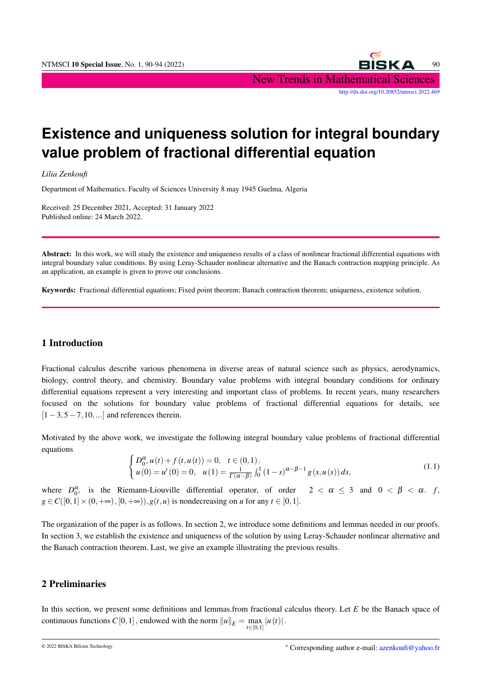

# **Existence and uniqueness solution for integral boundary value problem of fractional differential equation**

*Lilia Zenkoufi*

Department of Mathematics. Faculty of Sciences University 8 may 1945 Guelma, Algeria

Received: 25 December 2021, Accepted: 31 January 2022 Published online: 24 March 2022.

Abstract: In this work, we will study the existence and uniqueness results of a class of nonlinear fractional differential equations with integral boundary value conditions. By using Leray-Schauder nonlinear alternative and the Banach contraction mapping principle. As an application, an example is given to prove our conclusions.

Keywords: Fractional differential equations; Fixed point theorem; Banach contraction theorem; uniqueness, existence solution.

# 1 Introduction

Fractional calculus describe various phenomena in diverse areas of natural science such as physics, aerodynamics, biology, control theory, and chemistry. Boundary value problems with integral boundary conditions for ordinary differential equations represent a very interesting and important class of problems. In recent years, many researchers focused on the solutions for boundary value problems of fractional differential equations for details, see  $[1-3,5-7,10,...]$  and references therein.

Motivated by the above work, we investigate the following integral boundary value problems of fractional differential equations

$$
\begin{cases}\nD_{0+}^{\alpha}u(t) + f(t, u(t)) = 0, & t \in (0, 1). \\
u(0) = u'(0) = 0, & u(1) = \frac{1}{\Gamma(\alpha - \beta)} \int_0^1 (1 - s)^{\alpha - \beta - 1} g(s, u(s)) ds,\n\end{cases}
$$
\n(1.1)

where  $D_{0^+}^{\alpha}$  is the Riemann-Liouville differential operator, of order  $2 < \alpha \leq 3$  and  $0 < \beta < \alpha$ . *f*,  $g \in C([0,1] \times (0,+\infty),[0,+\infty)), g(t,u)$  is nondecreasing on *u* for any  $t \in [0,1]$ .

The organization of the paper is as follows. In section 2, we introduce some definitions and lemmas needed in our proofs. In section 3, we establish the existence and uniqueness of the solution by using Leray-Schauder nonlinear alternative and the Banach contraction theorem. Last, we give an example illustrating the previous results.

# 2 Preliminaries

In this section, we present some definitions and lemmas.from fractional calculus theory. Let *E* be the Banach space of continuous functions  $C[0,1]$ , endowed with the norm  $||u||_E = \max_{t \in [0,1]} |u(t)|$ .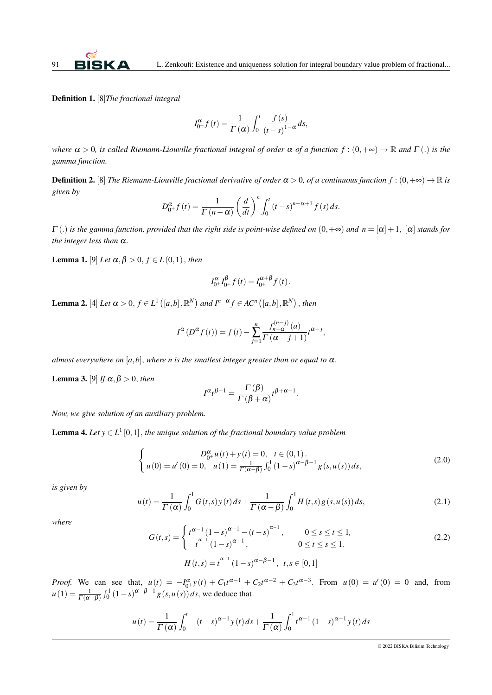Definition 1. [8]*The fractional integral*

$$
I_{0^+}^{\alpha}f(t) = \frac{1}{\Gamma(\alpha)} \int_0^t \frac{f(s)}{(t-s)^{1-\alpha}} ds,
$$

*where*  $\alpha > 0$ , *is called Riemann-Liouville fractional integral of order*  $\alpha$  *of a function*  $f : (0, +\infty) \to \mathbb{R}$  *and*  $\Gamma(.)$  *is the gamma function.*

**Definition 2.** [8] *The Riemann-Liouville fractional derivative of order*  $\alpha > 0$ , *of a continuous function*  $f : (0, +\infty) \to \mathbb{R}$  *is given by*

$$
D_{0+}^{\alpha}f(t) = \frac{1}{\Gamma(n-\alpha)} \left(\frac{d}{dt}\right)^n \int_0^t (t-s)^{n-\alpha+1} f(s) ds.
$$

 $\Gamma$  (.) *is the gamma function, provided that the right side is point-wise defined on*  $(0, +\infty)$  *and*  $n = [\alpha] + 1$ ,  $[\alpha]$  *stands for the integer less than* α.

**Lemma 1.** [9] *Let*  $\alpha, \beta > 0$ ,  $f \in L(0,1)$ , *then* 

$$
I_{0^+}^{\alpha}I_{0^+}^{\beta}f(t) = I_{0^+}^{\alpha+\beta}f(t).
$$

**Lemma 2.** [4] Let  $\alpha > 0$ ,  $f \in L^1([a,b],\mathbb{R}^N)$  and  $I^{n-\alpha} f \in AC^n([a,b],\mathbb{R}^N)$ , then

$$
I^{\alpha}(D^{\alpha} f(t)) = f(t) - \sum_{j=1}^{n} \frac{f_{n-\alpha}^{(n-j)}(a)}{\Gamma(\alpha - j + 1)} t^{\alpha - j},
$$

*almost everywhere on* [ $a$ , $b$ ], *where n is the smallest integer greater than or equal to*  $\alpha$ .

Lemma 3. [9] *If*  $\alpha, \beta > 0$ , *then* 

$$
I^{\alpha}t^{\beta-1} = \frac{\Gamma(\beta)}{\Gamma(\beta+\alpha)}t^{\beta+\alpha-1}.
$$

*Now, we give solution of an auxiliary problem.*

**Lemma 4.** Let  $y \in L^1[0,1]$ , the unique solution of the fractional boundary value problem

$$
\begin{cases}\nD_{0+}^{\alpha}u(t) + y(t) = 0, \quad t \in (0,1). \\
u(0) = u'(0) = 0, \quad u(1) = \frac{1}{\Gamma(\alpha-\beta)} \int_0^1 (1-s)^{\alpha-\beta-1} g(s, u(s)) ds,\n\end{cases} \tag{2.0}
$$

*is given by*

$$
u(t) = \frac{1}{\Gamma(\alpha)} \int_0^1 G(t,s) y(t) ds + \frac{1}{\Gamma(\alpha - \beta)} \int_0^1 H(t,s) g(s, u(s)) ds,
$$
\n(2.1)

*where*

$$
G(t,s) = \begin{cases} t^{\alpha-1} (1-s)^{\alpha-1} - (t-s)^{\alpha-1}, & 0 \le s \le t \le 1, \\ t^{\alpha-1} (1-s)^{\alpha-1}, & 0 \le t \le s \le 1. \end{cases}
$$
(2.2)

$$
H(t,s) = t^{\alpha - 1} (1 - s)^{\alpha - \beta - 1}, \ t, s \in [0, 1]
$$

*Proof.* We can see that,  $u(t) = -I_0^{\alpha} y(t) + C_1 t^{\alpha-1} + C_2 t^{\alpha-2} + C_3 t^{\alpha-3}$ . From  $u(0) = u'(0) = 0$  and, from  $u(1) = \frac{1}{\Gamma(\alpha-\beta)} \int_0^1 (1-s)^{\alpha-\beta-1} g(s, u(s)) ds$ , we deduce that

$$
u(t) = \frac{1}{\Gamma(\alpha)} \int_0^t -(t-s)^{\alpha-1} y(t) \, ds + \frac{1}{\Gamma(\alpha)} \int_0^1 t^{\alpha-1} (1-s)^{\alpha-1} y(t) \, ds
$$

© 2022 BISKA Bilisim Technology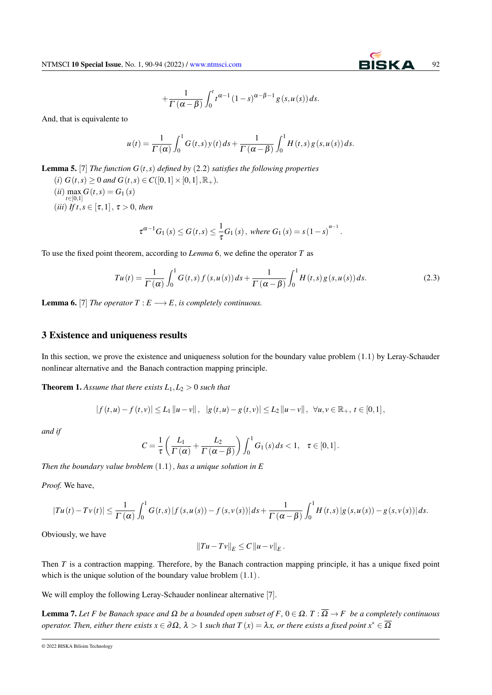$$
+\frac{1}{\Gamma\left(\alpha-\beta\right)}\int_{0}^{t}t^{\alpha-1}\left(1-s\right)^{\alpha-\beta-1}g\left(s,u\left(s\right)\right)ds.
$$

And, that is equivalente to

$$
u(t) = \frac{1}{\Gamma(\alpha)} \int_0^1 G(t,s) y(t) ds + \frac{1}{\Gamma(\alpha-\beta)} \int_0^1 H(t,s) g(s, u(s)) ds.
$$

Lemma 5. [7] *The function G*(*t*,*s*) *defined by* (2.2) *satisfies the following properties*

(*i*)  $G(t,s) > 0$  *and*  $G(t,s) \in C([0,1] \times [0,1], \mathbb{R}_+).$  $(iii)$  max  $G(t,s) = G_1(s)$ *t*∈[0,1]  $(iii)$  *If t*,  $s \in [\tau, 1]$ ,  $\tau > 0$ , *then* 

$$
\tau^{\alpha-1}G_1(s) \le G(t,s) \le \frac{1}{\tau}G_1(s), \text{ where } G_1(s) = s(1-s)^{\alpha-1}.
$$

To use the fixed point theorem, according to *Lemma* 6, we define the operator *T* as

$$
Tu(t) = \frac{1}{\Gamma(\alpha)} \int_0^1 G(t,s) f(s, u(s)) ds + \frac{1}{\Gamma(\alpha - \beta)} \int_0^1 H(t,s) g(s, u(s)) ds.
$$
 (2.3)

**Lemma 6.** [7] *The operator*  $T : E \longrightarrow E$ , *is completely continuous.* 

#### 3 Existence and uniqueness results

In this section, we prove the existence and uniqueness solution for the boundary value problem (1.1) by Leray-Schauder nonlinear alternative and the Banach contraction mapping principle.

**Theorem 1.** Assume that there exists  $L_1, L_2 > 0$  such that

$$
|f(t, u)-f(t, v)| \leq L_1 \|u-v\|, \quad |g(t, u)-g(t, v)| \leq L_2 \|u-v\|, \quad \forall u, v \in \mathbb{R}_+, t \in [0, 1],
$$

*and if*

$$
C = \frac{1}{\tau} \left( \frac{L_1}{\Gamma(\alpha)} + \frac{L_2}{\Gamma(\alpha - \beta)} \right) \int_0^1 G_1(s) \, ds < 1, \quad \tau \in [0, 1].
$$

*Then the boundary value broblem* (1.1), *has a unique solution in E*

*Proof.* We have,

$$
|Tu(t) - Tv(t)| \leq \frac{1}{\Gamma(\alpha)} \int_0^1 G(t,s) |f(s, u(s)) - f(s, v(s))| ds + \frac{1}{\Gamma(\alpha - \beta)} \int_0^1 H(t,s) |g(s, u(s)) - g(s, v(s))| ds.
$$

Obviously, we have

$$
||Tu-Tv||E \leq C ||u-v||E.
$$

Then *T* is a contraction mapping. Therefore, by the Banach contraction mapping principle, it has a unique fixed point which is the unique solution of the boundary value broblem  $(1.1)$ .

We will employ the following Leray-Schauder nonlinear alternative [7].

Lemma 7. *Let F be Banach space and* Ω *be a bounded open subset of F,* 0 ∈ Ω*. T* : Ω → *F be a completely continuous operator. Then, either there exists*  $x \in \partial \Omega$ ,  $\lambda > 1$  *such that*  $T(x) = \lambda x$ , *or there exists a fixed point*  $x^* \in \overline{\Omega}$ 

<sup>© 2022</sup> BISKA Bilisim Technology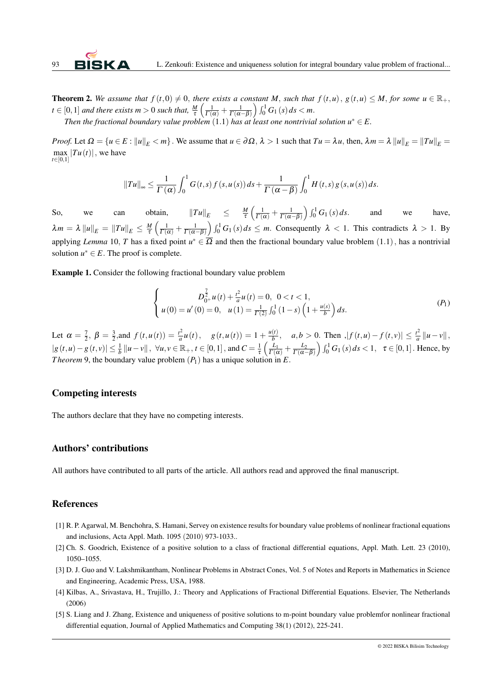**Theorem 2.** We assume that  $f(t,0) \neq 0$ , there exists a constant M, such that  $f(t,u)$ ,  $g(t,u) \leq M$ , for some  $u \in \mathbb{R}_+$ ,  $t \in [0,1]$  *and there exists m* > 0 *such that,*  $\frac{M}{\tau} \left( \frac{1}{\Gamma(\alpha)} + \frac{1}{\Gamma(\alpha-\beta)} \right) \int_0^1 G_1(s) ds < m$ .

*Then the fractional boundary value problem*  $(1.1)$  *has at least one nontrivial solution*  $u^* \in E$ .

*Proof.* Let  $\Omega = \{u \in E : ||u||_E < m\}$ . We assume that  $u \in \partial \Omega$ ,  $\lambda > 1$  such that  $Tu = \lambda u$ , then,  $\lambda m = \lambda ||u||_E = ||Tu||_E = ||Tu||_E$  $\max_{t \in [0,1]} |Tu(t)|$ , we have

$$
||Tu||_{\infty} \leq \frac{1}{\Gamma(\alpha)} \int_0^1 G(t,s) f(s,u(s)) ds + \frac{1}{\Gamma(\alpha-\beta)} \int_0^1 H(t,s) g(s,u(s)) ds.
$$

So, we can obtain,  $||Tu||_E \le \frac{M}{\tau}$  $\frac{M}{\tau} \left( \frac{1}{\Gamma(\alpha)} + \frac{1}{\Gamma(\alpha - \beta)} \right) \int_0^1 G_1(s) ds$  and we have,  $\lambda m = \lambda \left\| u \right\|_E = \left\| T u \right\|_E \leq \frac{M}{\tau}$  $\frac{M}{\tau}\left(\frac{1}{\Gamma(\alpha)}+\frac{1}{\Gamma(\alpha-\beta)}\right)\int_0^1 G_1(s)ds\leq m.$  Consequently  $\lambda < 1$ . This contradicts  $\lambda > 1$ . By applying *Lemma* 10, *T* has a fixed point  $u^* \in \overline{\Omega}$  and then the fractional boundary value broblem  $(1.1)$ , has a nontrivial solution  $u^* \in E$ . The proof is complete.

Example 1. Consider the following fractional boundary value problem

$$
\begin{cases}\nD_{0+}^{\frac{7}{2}}u(t) + \frac{t^2}{a}u(t) = 0, \ 0 < t < 1, \\
u(0) = u'(0) = 0, \ u(1) = \frac{1}{\Gamma(2)} \int_0^1 (1-s) \left(1 + \frac{u(s)}{b}\right) ds.\n\end{cases} \tag{P_1}
$$

Let  $\alpha = \frac{7}{2}, \beta = \frac{3}{2}, \text{and } f(t, u(t)) = \frac{t^2}{a}$  $\frac{d^2}{a^2}u(t)$ ,  $g(t,u(t)) = 1 + \frac{u(t)}{b}$ *b* , *a*,*b* > 0. Then ,| *f* (*t*,*u*)− *f* (*t*, *v*)| ≤ *t* 2  $\frac{t^2}{a}$  || $u - v$ ||,  $|g(t, u) - g(t, v)| \leq \frac{1}{b} ||u - v||$ ,  $\forall u, v \in \mathbb{R}_+$ ,  $t \in [0, 1]$ , and  $C = \frac{1}{\tau} \left( \frac{L_1}{\Gamma(\alpha)} + \frac{L_2}{\Gamma(\alpha - \beta)} \right) \int_0^1 G_1(s) ds < 1$ ,  $\tau \in [0, 1]$ . Hence, by *Theorem* 9, the boundary value problem  $(P_1)$  has a unique solution in *E*.

### Competing interests

The authors declare that they have no competing interests.

## Authors' contributions

All authors have contributed to all parts of the article. All authors read and approved the final manuscript.

## References

- [1] R. P. Agarwal, M. Benchohra, S. Hamani, Servey on existence results for boundary value problems of nonlinear fractional equations and inclusions, Acta Appl. Math. 1095 (2010) 973-1033..
- [2] Ch. S. Goodrich, Existence of a positive solution to a class of fractional differential equations, Appl. Math. Lett. 23 (2010), 1050–1055.
- [3] D. J. Guo and V. Lakshmikantham, Nonlinear Problems in Abstract Cones, Vol. 5 of Notes and Reports in Mathematics in Science and Engineering, Academic Press, USA, 1988.
- [4] Kilbas, A., Srivastava, H., Trujillo, J.: Theory and Applications of Fractional Differential Equations. Elsevier, The Netherlands (2006)
- [5] S. Liang and J. Zhang, Existence and uniqueness of positive solutions to m-point boundary value problemfor nonlinear fractional differential equation, Journal of Applied Mathematics and Computing 38(1) (2012), 225-241.